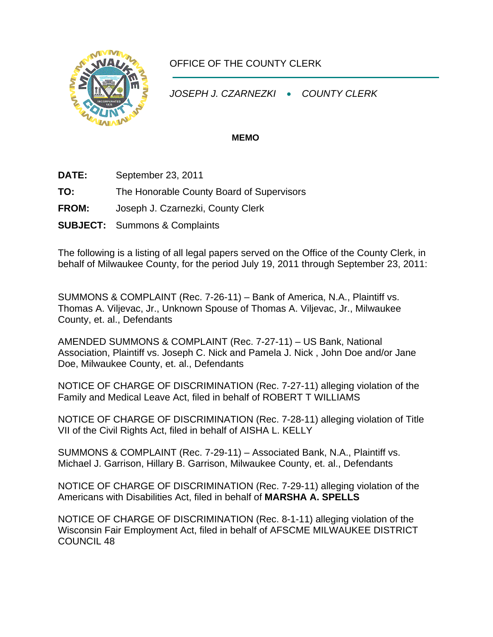

## OFFICE OF THE COUNTY CLERK

*JOSEPH J. CZARNEZKI* • *COUNTY CLERK* 

## **MEMO**

- **DATE:** September 23, 2011
- **TO:** The Honorable County Board of Supervisors
- **FROM:** Joseph J. Czarnezki, County Clerk
- **SUBJECT:** Summons & Complaints

The following is a listing of all legal papers served on the Office of the County Clerk, in behalf of Milwaukee County, for the period July 19, 2011 through September 23, 2011:

SUMMONS & COMPLAINT (Rec. 7-26-11) – Bank of America, N.A., Plaintiff vs. Thomas A. Viljevac, Jr., Unknown Spouse of Thomas A. Viljevac, Jr., Milwaukee County, et. al., Defendants

AMENDED SUMMONS & COMPLAINT (Rec. 7-27-11) – US Bank, National Association, Plaintiff vs. Joseph C. Nick and Pamela J. Nick , John Doe and/or Jane Doe, Milwaukee County, et. al., Defendants

NOTICE OF CHARGE OF DISCRIMINATION (Rec. 7-27-11) alleging violation of the Family and Medical Leave Act, filed in behalf of ROBERT T WILLIAMS

NOTICE OF CHARGE OF DISCRIMINATION (Rec. 7-28-11) alleging violation of Title VII of the Civil Rights Act, filed in behalf of AISHA L. KELLY

SUMMONS & COMPLAINT (Rec. 7-29-11) – Associated Bank, N.A., Plaintiff vs. Michael J. Garrison, Hillary B. Garrison, Milwaukee County, et. al., Defendants

NOTICE OF CHARGE OF DISCRIMINATION (Rec. 7-29-11) alleging violation of the Americans with Disabilities Act, filed in behalf of **MARSHA A. SPELLS** 

NOTICE OF CHARGE OF DISCRIMINATION (Rec. 8-1-11) alleging violation of the Wisconsin Fair Employment Act, filed in behalf of AFSCME MILWAUKEE DISTRICT COUNCIL 48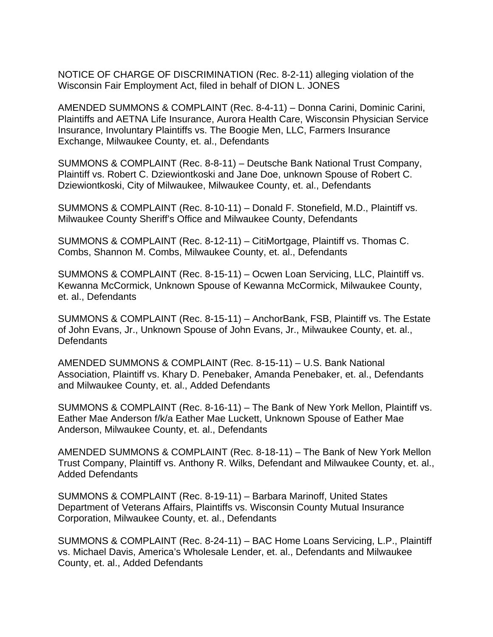NOTICE OF CHARGE OF DISCRIMINATION (Rec. 8-2-11) alleging violation of the Wisconsin Fair Employment Act, filed in behalf of DION L. JONES

AMENDED SUMMONS & COMPLAINT (Rec. 8-4-11) – Donna Carini, Dominic Carini, Plaintiffs and AETNA Life Insurance, Aurora Health Care, Wisconsin Physician Service Insurance, Involuntary Plaintiffs vs. The Boogie Men, LLC, Farmers Insurance Exchange, Milwaukee County, et. al., Defendants

SUMMONS & COMPLAINT (Rec. 8-8-11) – Deutsche Bank National Trust Company, Plaintiff vs. Robert C. Dziewiontkoski and Jane Doe, unknown Spouse of Robert C. Dziewiontkoski, City of Milwaukee, Milwaukee County, et. al., Defendants

SUMMONS & COMPLAINT (Rec. 8-10-11) – Donald F. Stonefield, M.D., Plaintiff vs. Milwaukee County Sheriff's Office and Milwaukee County, Defendants

SUMMONS & COMPLAINT (Rec. 8-12-11) – CitiMortgage, Plaintiff vs. Thomas C. Combs, Shannon M. Combs, Milwaukee County, et. al., Defendants

SUMMONS & COMPLAINT (Rec. 8-15-11) – Ocwen Loan Servicing, LLC, Plaintiff vs. Kewanna McCormick, Unknown Spouse of Kewanna McCormick, Milwaukee County, et. al., Defendants

SUMMONS & COMPLAINT (Rec. 8-15-11) – AnchorBank, FSB, Plaintiff vs. The Estate of John Evans, Jr., Unknown Spouse of John Evans, Jr., Milwaukee County, et. al., **Defendants** 

AMENDED SUMMONS & COMPLAINT (Rec. 8-15-11) – U.S. Bank National Association, Plaintiff vs. Khary D. Penebaker, Amanda Penebaker, et. al., Defendants and Milwaukee County, et. al., Added Defendants

SUMMONS & COMPLAINT (Rec. 8-16-11) – The Bank of New York Mellon, Plaintiff vs. Eather Mae Anderson f/k/a Eather Mae Luckett, Unknown Spouse of Eather Mae Anderson, Milwaukee County, et. al., Defendants

AMENDED SUMMONS & COMPLAINT (Rec. 8-18-11) – The Bank of New York Mellon Trust Company, Plaintiff vs. Anthony R. Wilks, Defendant and Milwaukee County, et. al., Added Defendants

SUMMONS & COMPLAINT (Rec. 8-19-11) – Barbara Marinoff, United States Department of Veterans Affairs, Plaintiffs vs. Wisconsin County Mutual Insurance Corporation, Milwaukee County, et. al., Defendants

SUMMONS & COMPLAINT (Rec. 8-24-11) – BAC Home Loans Servicing, L.P., Plaintiff vs. Michael Davis, America's Wholesale Lender, et. al., Defendants and Milwaukee County, et. al., Added Defendants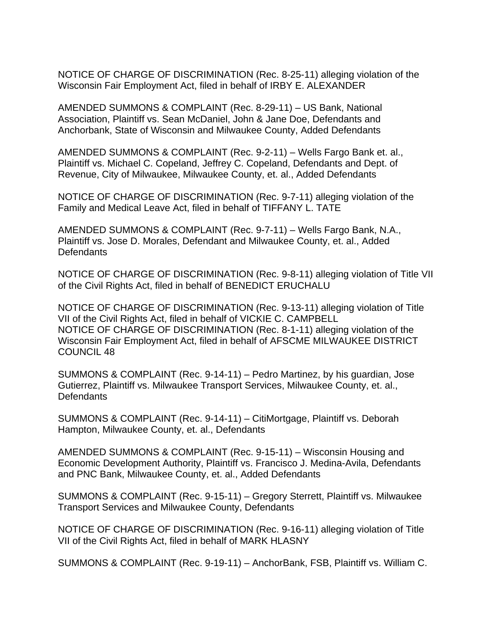NOTICE OF CHARGE OF DISCRIMINATION (Rec. 8-25-11) alleging violation of the Wisconsin Fair Employment Act, filed in behalf of IRBY E. ALEXANDER

AMENDED SUMMONS & COMPLAINT (Rec. 8-29-11) – US Bank, National Association, Plaintiff vs. Sean McDaniel, John & Jane Doe, Defendants and Anchorbank, State of Wisconsin and Milwaukee County, Added Defendants

AMENDED SUMMONS & COMPLAINT (Rec. 9-2-11) – Wells Fargo Bank et. al., Plaintiff vs. Michael C. Copeland, Jeffrey C. Copeland, Defendants and Dept. of Revenue, City of Milwaukee, Milwaukee County, et. al., Added Defendants

NOTICE OF CHARGE OF DISCRIMINATION (Rec. 9-7-11) alleging violation of the Family and Medical Leave Act, filed in behalf of TIFFANY L. TATE

AMENDED SUMMONS & COMPLAINT (Rec. 9-7-11) – Wells Fargo Bank, N.A., Plaintiff vs. Jose D. Morales, Defendant and Milwaukee County, et. al., Added **Defendants** 

NOTICE OF CHARGE OF DISCRIMINATION (Rec. 9-8-11) alleging violation of Title VII of the Civil Rights Act, filed in behalf of BENEDICT ERUCHALU

NOTICE OF CHARGE OF DISCRIMINATION (Rec. 9-13-11) alleging violation of Title VII of the Civil Rights Act, filed in behalf of VICKIE C. CAMPBELL NOTICE OF CHARGE OF DISCRIMINATION (Rec. 8-1-11) alleging violation of the Wisconsin Fair Employment Act, filed in behalf of AFSCME MILWAUKEE DISTRICT COUNCIL 48

SUMMONS & COMPLAINT (Rec. 9-14-11) – Pedro Martinez, by his guardian, Jose Gutierrez, Plaintiff vs. Milwaukee Transport Services, Milwaukee County, et. al., **Defendants** 

SUMMONS & COMPLAINT (Rec. 9-14-11) – CitiMortgage, Plaintiff vs. Deborah Hampton, Milwaukee County, et. al., Defendants

AMENDED SUMMONS & COMPLAINT (Rec. 9-15-11) – Wisconsin Housing and Economic Development Authority, Plaintiff vs. Francisco J. Medina-Avila, Defendants and PNC Bank, Milwaukee County, et. al., Added Defendants

SUMMONS & COMPLAINT (Rec. 9-15-11) – Gregory Sterrett, Plaintiff vs. Milwaukee Transport Services and Milwaukee County, Defendants

NOTICE OF CHARGE OF DISCRIMINATION (Rec. 9-16-11) alleging violation of Title VII of the Civil Rights Act, filed in behalf of MARK HLASNY

SUMMONS & COMPLAINT (Rec. 9-19-11) – AnchorBank, FSB, Plaintiff vs. William C.